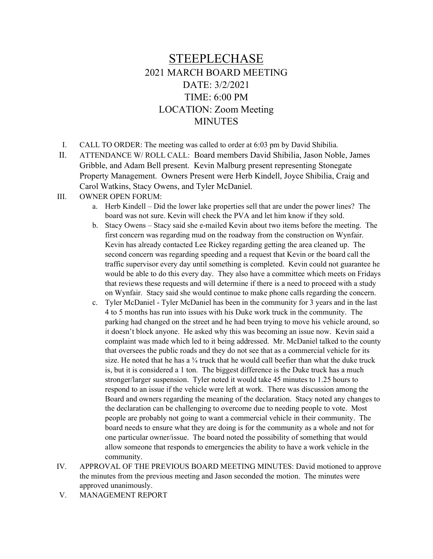## STEEPLECHASE 2021 MARCH BOARD MEETING DATE: 3/2/2021 TIME: 6:00 PM LOCATION: Zoom Meeting MINUTES

- I. CALL TO ORDER: The meeting was called to order at 6:03 pm by David Shibilia.
- II. ATTENDANCE W/ ROLL CALL: Board members David Shibilia, Jason Noble, James Gribble, and Adam Bell present. Kevin Malburg present representing Stonegate Property Management. Owners Present were Herb Kindell, Joyce Shibilia, Craig and Carol Watkins, Stacy Owens, and Tyler McDaniel.
- III. OWNER OPEN FORUM:
	- a. Herb Kindell Did the lower lake properties sell that are under the power lines? The board was not sure. Kevin will check the PVA and let him know if they sold.
	- b. Stacy Owens Stacy said she e-mailed Kevin about two items before the meeting. The first concern was regarding mud on the roadway from the construction on Wynfair. Kevin has already contacted Lee Rickey regarding getting the area cleaned up. The second concern was regarding speeding and a request that Kevin or the board call the traffic supervisor every day until something is completed. Kevin could not guarantee he would be able to do this every day. They also have a committee which meets on Fridays that reviews these requests and will determine if there is a need to proceed with a study on Wynfair. Stacy said she would continue to make phone calls regarding the concern.
	- c. Tyler McDaniel Tyler McDaniel has been in the community for 3 years and in the last 4 to 5 months has run into issues with his Duke work truck in the community. The parking had changed on the street and he had been trying to move his vehicle around, so it doesn't block anyone. He asked why this was becoming an issue now. Kevin said a complaint was made which led to it being addressed. Mr. McDaniel talked to the county that oversees the public roads and they do not see that as a commercial vehicle for its size. He noted that he has a  $\frac{3}{4}$  truck that he would call beefier than what the duke truck is, but it is considered a 1 ton. The biggest difference is the Duke truck has a much stronger/larger suspension. Tyler noted it would take 45 minutes to 1.25 hours to respond to an issue if the vehicle were left at work. There was discussion among the Board and owners regarding the meaning of the declaration. Stacy noted any changes to the declaration can be challenging to overcome due to needing people to vote. Most people are probably not going to want a commercial vehicle in their community. The board needs to ensure what they are doing is for the community as a whole and not for one particular owner/issue. The board noted the possibility of something that would allow someone that responds to emergencies the ability to have a work vehicle in the community.
- IV. APPROVAL OF THE PREVIOUS BOARD MEETING MINUTES: David motioned to approve the minutes from the previous meeting and Jason seconded the motion. The minutes were approved unanimously.
- V. MANAGEMENT REPORT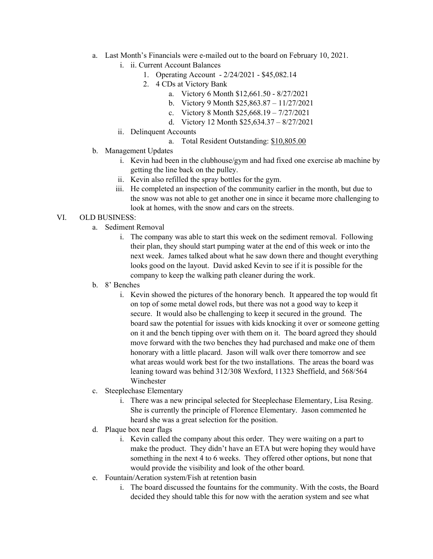- a. Last Month's Financials were e-mailed out to the board on February 10, 2021.
	- i. ii. Current Account Balances
		- 1. Operating Account 2/24/2021 \$45,082.14
		- 2. 4 CDs at Victory Bank
			- a. Victory 6 Month \$12,661.50 8/27/2021
			- b. Victory 9 Month \$25,863.87 11/27/2021
			- c. Victory 8 Month \$25,668.19 7/27/2021
			- d. Victory 12 Month \$25,634.37 8/27/2021
	- ii. Delinquent Accounts
		- a. Total Resident Outstanding: \$10,805.00
- b. Management Updates
	- i. Kevin had been in the clubhouse/gym and had fixed one exercise ab machine by getting the line back on the pulley.
	- ii. Kevin also refilled the spray bottles for the gym.
	- iii. He completed an inspection of the community earlier in the month, but due to the snow was not able to get another one in since it became more challenging to look at homes, with the snow and cars on the streets.

## VI. OLD BUSINESS:

- a. Sediment Removal
	- i. The company was able to start this week on the sediment removal. Following their plan, they should start pumping water at the end of this week or into the next week. James talked about what he saw down there and thought everything looks good on the layout. David asked Kevin to see if it is possible for the company to keep the walking path cleaner during the work.
- b. 8' Benches
	- i. Kevin showed the pictures of the honorary bench. It appeared the top would fit on top of some metal dowel rods, but there was not a good way to keep it secure. It would also be challenging to keep it secured in the ground. The board saw the potential for issues with kids knocking it over or someone getting on it and the bench tipping over with them on it. The board agreed they should move forward with the two benches they had purchased and make one of them honorary with a little placard. Jason will walk over there tomorrow and see what areas would work best for the two installations. The areas the board was leaning toward was behind 312/308 Wexford, 11323 Sheffield, and 568/564 Winchester
- c. Steeplechase Elementary
	- i. There was a new principal selected for Steeplechase Elementary, Lisa Resing. She is currently the principle of Florence Elementary. Jason commented he heard she was a great selection for the position.
- d. Plaque box near flags
	- i. Kevin called the company about this order. They were waiting on a part to make the product. They didn't have an ETA but were hoping they would have something in the next 4 to 6 weeks. They offered other options, but none that would provide the visibility and look of the other board.
- e. Fountain/Aeration system/Fish at retention basin
	- i. The board discussed the fountains for the community. With the costs, the Board decided they should table this for now with the aeration system and see what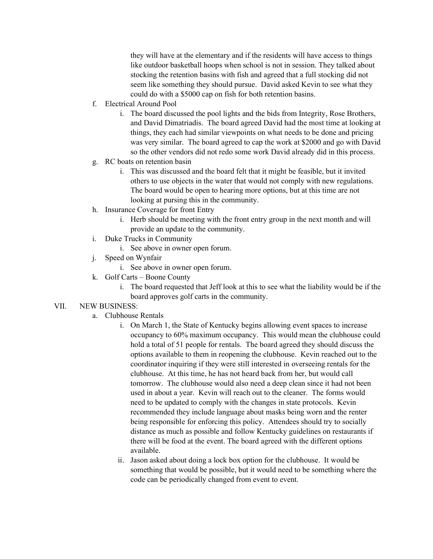they will have at the elementary and if the residents will have access to things like outdoor basketball hoops when school is not in session. They talked about stocking the retention basins with fish and agreed that a full stocking did not seem like something they should pursue. David asked Kevin to see what they could do with a \$5000 cap on fish for both retention basins.

- f. Electrical Around Pool
	- i. The board discussed the pool lights and the bids from Integrity, Rose Brothers, and David Dimatriadis. The board agreed David had the most time at looking at things, they each had similar viewpoints on what needs to be done and pricing was very similar. The board agreed to cap the work at \$2000 and go with David so the other vendors did not redo some work David already did in this process.
- g. RC boats on retention basin
	- i. This was discussed and the board felt that it might be feasible, but it invited others to use objects in the water that would not comply with new regulations. The board would be open to hearing more options, but at this time are not looking at pursing this in the community.
- h. Insurance Coverage for front Entry
	- i. Herb should be meeting with the front entry group in the next month and will provide an update to the community.
- i. Duke Trucks in Community
	- i. See above in owner open forum.
- j. Speed on Wynfair
	- i. See above in owner open forum.
- k. Golf Carts Boone County
	- i. The board requested that Jeff look at this to see what the liability would be if the board approves golf carts in the community.

## VII. NEW BUSINESS:

- a. Clubhouse Rentals
	- i. On March 1, the State of Kentucky begins allowing event spaces to increase occupancy to 60% maximum occupancy. This would mean the clubhouse could hold a total of 51 people for rentals. The board agreed they should discuss the options available to them in reopening the clubhouse. Kevin reached out to the coordinator inquiring if they were still interested in overseeing rentals for the clubhouse. At this time, he has not heard back from her, but would call tomorrow. The clubhouse would also need a deep clean since it had not been used in about a year. Kevin will reach out to the cleaner. The forms would need to be updated to comply with the changes in state protocols. Kevin recommended they include language about masks being worn and the renter being responsible for enforcing this policy. Attendees should try to socially distance as much as possible and follow Kentucky guidelines on restaurants if there will be food at the event. The board agreed with the different options available.
	- ii. Jason asked about doing a lock box option for the clubhouse. It would be something that would be possible, but it would need to be something where the code can be periodically changed from event to event.